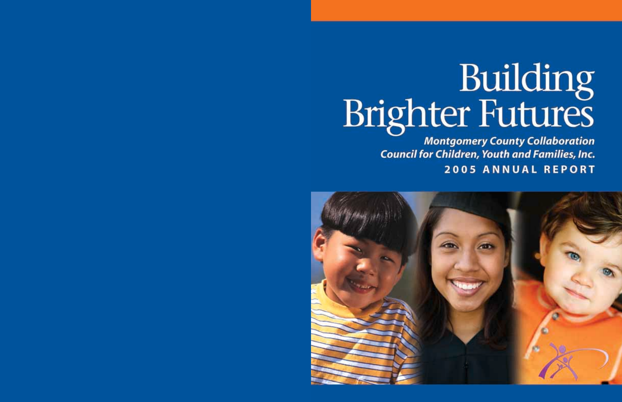# Building<br>Brighter Futures

**Montgomery County Collaboration Council for Children, Youth and Families, Inc. 2005 ANNUAL REPORT** 

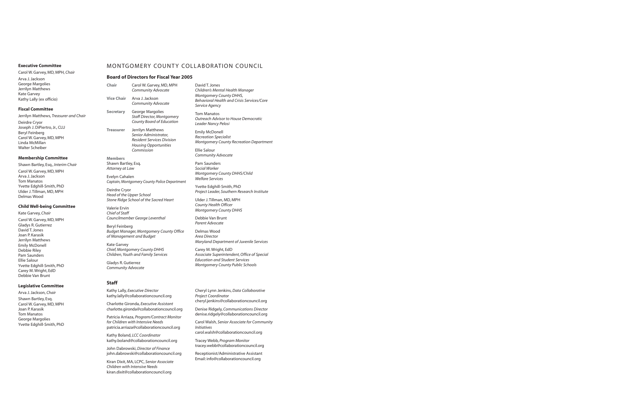Carol W. Garvey, MD, MPH, *Chair* Arva J. Jackson George Margolies Jerrilyn Matthews Kate Garvey Kathy Lally (ex officio)

### **Fiscal Committee**

Jerrilyn Matthews, *Treasurer and Chair* Deirdre Cryor Joseph J. DiPiertro, Jr., CLU

Beryl Feinberg Carol W. Garvey, MD, MPH Linda McMillan Walter Scheiber

### **Membership Committee**

Shawn Bartley, Esq., *Interim Chair* Carol W. Garvey, MD, MPH Arva J. Jackson Tom Manatos Yvette Edghill-Smith, PhD Ulder J. Tillman, MD, MPH Delmas Wood

# **Child Well-being Committee**

Kate Garvey, *Chair* Carol W. Garvey, MD, MPH Gladys R. Gutierrez David T. Jones Joan P. Karasik Jerrilyn Matthews Emily McDonell Debbie Riley Pam Saunders Ellie Salour Yvette Edghill-Smith, PhD Carey M. Wright, EdD Debbie Van Brunt

# **Legislative Committee**

Arva J. Jackson, *Chair* Shawn Bartley, Esq. Carol W. Garvey, MD, MPH Joan P. Karasik Tom Manatos George Margolies Yvette Edghill-Smith, PhD

# Executive Committee **MONTGOMERY COUNTY COLLABORATION COUNCIL**

# **Board of Directors for Fiscal Year 2005**

| Chair | Carol W. Garvey, MD, MPH  |
|-------|---------------------------|
|       | <b>Community Advocate</b> |

**Vice Chair** Arva J. Jackson *Community Advocate*

**Secretary** George Margolies *Staff Director, Montgomery County Board of Education*

**Treasurer** Jerrilyn Matthews *Senior Administrator, Resident Services Division Housing Opportunities Commission*

**Members** Shawn Bartley, Esq. *Attorney at Law*

Evelyn Cahalen *Captain, Montgomery County Police Department*

Deirdre Cryor *Head of the Upper School Stone Ridge School of the Sacred Heart*

Valerie Ervin *Chief of Staff Councilmember George Leventhal*

Beryl Feinberg *Budget Manager, Montgomery County Office of Management and Budget*

Kate Garvey *Chief, Montgomery County DHHS Children, Youth and Family Services*

Gladys R. Gutierrez *Community Advocate*

### **Staff**

Kathy Lally, *Executive Director* kathy.lally@collaborationcouncil.org

Charlotte Gironda, *Executive Assistant* charlotte.gironda@collaborationcouncil.org

Patricia Arriaza, *Program/Contract Monitor for Children with Intensive Needs* patricia.arriaza@collaborationcouncil.org

Kathy Boland, *LCC Coordinator* kathy.boland@collaborationcouncil.org

John Dabrowski, *Director of Finance* john.dabrowski@collaborationcouncil.org

Kiran Dixit, MA, LCPC, *Senior Associate Children with Intensive Needs* kiran.dixit@collaborationcouncil.org

David T. Jones *Children's Mental Health Manager Montgomery County DHHS, Behavioral Health and Crisis Services/Core Service Agency*

Tom Manatos *Outreach Advisor to House Democratic Leader Nancy Pelosi*

Emily McDonell *Recreation Specialist Montgomery County Recreation Department*

Ellie Salour *Community Advocate*

Pam Saunders *Social Worker Montgomery County DHHS/Child Welfare Services*

Yvette Edghill-Smith, PhD *Project Leader, Southern Research Institute*

Ulder J. Tillman, MD, MPH *County Health Officer Montgomery County DHHS*

Debbie Van Brunt *Parent Advocate*

Delmas Wood *Area Director Maryland Department of Juvenile Services*

Carey M. Wright, EdD *Associate Superintendent, Office of Special Education and Student Services Montgomery County Public Schools*

Cheryl Lynn Jenkins, *Data Collaborative Project Coordinator* cheryl.jenkins@collaborationcouncil.org

Denise Ridgely, *Communications Director* denise.ridgely@collaborationcouncil.org

Carol Walsh, *Senior Associate for Community Initiatives* carol.walsh@collaborationcouncil.org

Tracey Webb, *Program Monitor* tracey.webb@collaborationcouncil.org

Receptionist/Administrative Assistant Email: info@collaborationcouncil.org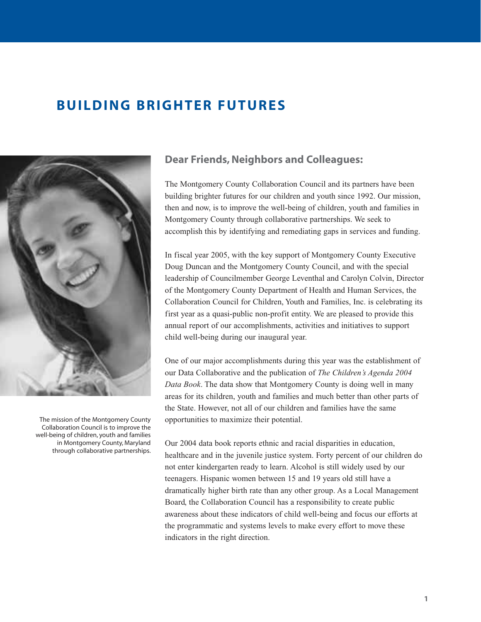# <span id="page-2-0"></span>**BUILDING BRIGHTER FUTURES**



The mission of the Montgomery County Collaboration Council is to improve the well-being of children, youth and families in Montgomery County, Maryland through collaborative partnerships.

# **Dear Friends, Neighbors and Colleagues:**

The Montgomery County Collaboration Council and its partners have been building brighter futures for our children and youth since 1992. Our mission, then and now, is to improve the well-being of children, youth and families in Montgomery County through collaborative partnerships. We seek to accomplish this by identifying and remediating gaps in services and funding.

In fiscal year 2005, with the key support of Montgomery County Executive Doug Duncan and the Montgomery County Council, and with the special leadership of Councilmember George Leventhal and Carolyn Colvin, Director of the Montgomery County Department of Health and Human Services, the Collaboration Council for Children, Youth and Families, Inc. is celebrating its first year as a quasi-public non-profit entity. We are pleased to provide this annual report of our accomplishments, activities and initiatives to support child well-being during our inaugural year.

One of our major accomplishments during this year was the establishment of our Data Collaborative and the publication of *The Children's Agenda 2004 Data Book*. The data show that Montgomery County is doing well in many areas for its children, youth and families and much better than other parts of the State. However, not all of our children and families have the same opportunities to maximize their potential.

Our 2004 data book reports ethnic and racial disparities in education, healthcare and in the juvenile justice system. Forty percent of our children do not enter kindergarten ready to learn. Alcohol is still widely used by our teenagers. Hispanic women between 15 and 19 years old still have a dramatically higher birth rate than any other group. As a Local Management Board, the Collaboration Council has a responsibility to create public awareness about these indicators of child well-being and focus our efforts at the programmatic and systems levels to make every effort to move these indicators in the right direction.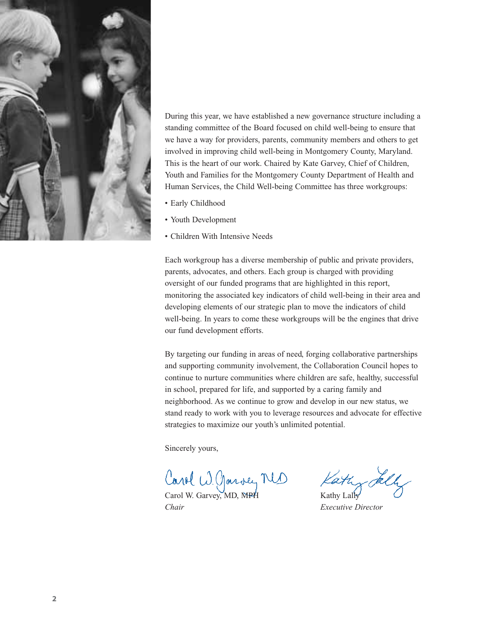

During this year, we have established a new governance structure including a standing committee of the Board focused on child well-being to ensure that we have a way for providers, parents, community members and others to get involved in improving child well-being in Montgomery County, Maryland. This is the heart of our work. Chaired by Kate Garvey, Chief of Children, Youth and Families for the Montgomery County Department of Health and Human Services, the Child Well-being Committee has three workgroups:

- Early Childhood
- Youth Development
- Children With Intensive Needs

Each workgroup has a diverse membership of public and private providers, parents, advocates, and others. Each group is charged with providing oversight of our funded programs that are highlighted in this report, monitoring the associated key indicators of child well-being in their area and developing elements of our strategic plan to move the indicators of child well-being. In years to come these workgroups will be the engines that drive our fund development efforts.

By targeting our funding in areas of need, forging collaborative partnerships and supporting community involvement, the Collaboration Council hopes to continue to nurture communities where children are safe, healthy, successful in school, prepared for life, and supported by a caring family and neighborhood. As we continue to grow and develop in our new status, we stand ready to work with you to leverage resources and advocate for effective strategies to maximize our youth's unlimited potential.

Sincerely yours,

Carol W. Garvey, MD Kathy<br>Carol W. Garvey, MD, MPH Kathy Lally

*Chair Executive Director*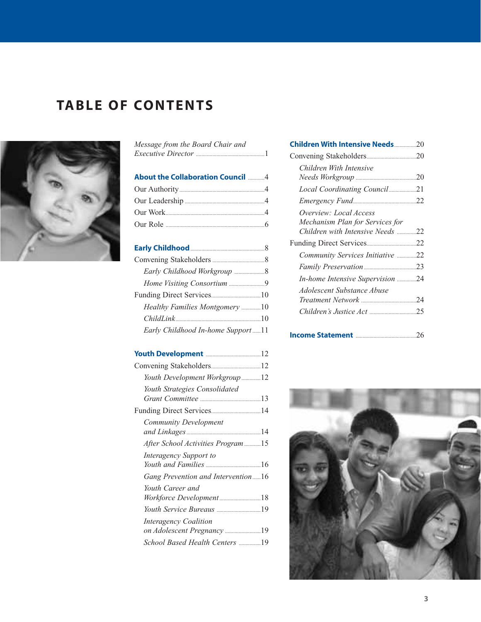# **TABLE OF CONTENTS**



| <b>About the Collaboration Council 4</b> |
|------------------------------------------|
|                                          |
|                                          |
|                                          |
|                                          |
|                                          |
|                                          |
|                                          |
|                                          |
|                                          |
|                                          |
|                                          |
| Healthy Families Montgomery 10           |
|                                          |

*[Message from the Board Chair and](#page-2-0)*

| Youth Development Workgroup 12     |  |
|------------------------------------|--|
| Youth Strategies Consolidated      |  |
|                                    |  |
|                                    |  |
| Community Development              |  |
|                                    |  |
| After School Activities Program 15 |  |
| Interagency Support to             |  |
|                                    |  |
| Gang Prevention and Intervention16 |  |
| Youth Career and                   |  |
| Workforce Development18            |  |
| Youth Service Bureaus 19           |  |
| <b>Interagency Coalition</b>       |  |
| on Adolescent Pregnancy 19         |  |
| School Based Health Centers 19     |  |
|                                    |  |

| <b>Children With Intensive Needs 20</b> |  |
|-----------------------------------------|--|
|                                         |  |
| Children With Intensive                 |  |
|                                         |  |
| Local Coordinating Council21            |  |
|                                         |  |
| Overview: Local Access                  |  |
| Mechanism Plan for Services for         |  |
| Children with Intensive Needs 22        |  |
|                                         |  |
| Community Services Initiative 22        |  |
|                                         |  |
| In-home Intensive Supervision 24        |  |
| Adolescent Substance Abuse              |  |
|                                         |  |
|                                         |  |
|                                         |  |
|                                         |  |

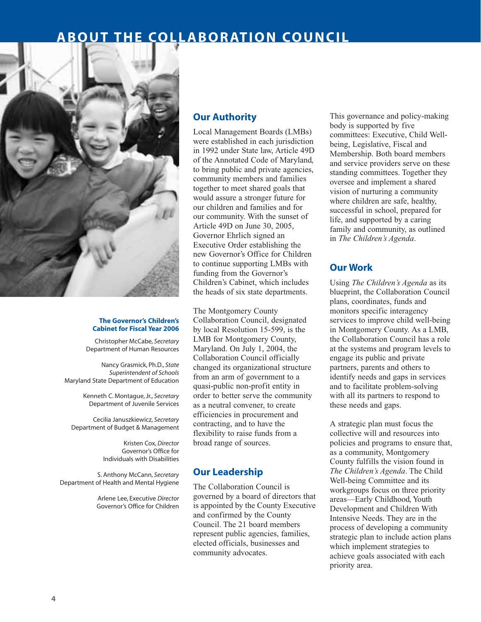# **ABOUT THE COLLABORATION COUNCIL**

<span id="page-5-0"></span>

# **The Governor's Children's Cabinet for Fiscal Year 2006**

Christopher McCabe, *Secretary* Department of Human Resources

Nancy Grasmick, Ph.D., *State Superintendent of Schools* Maryland State Department of Education

> Kenneth C. Montague, Jr., *Secretary* Department of Juvenile Services

Cecilia Januszkiewicz, *Secretary* Department of Budget & Management

> Kristen Cox, *Director* Governor's Office for Individuals with Disabilities

S. Anthony McCann, *Secretary* Department of Health and Mental Hygiene

> Arlene Lee, Executive *Director* Governor's Office for Children

# **Our Authority**

Local Management Boards (LMBs) were established in each jurisdiction in 1992 under State law, Article 49D of the Annotated Code of Maryland, to bring public and private agencies, community members and families together to meet shared goals that would assure a stronger future for our children and families and for our community. With the sunset of Article 49D on June 30, 2005, Governor Ehrlich signed an Executive Order establishing the new Governor's Office for Children to continue supporting LMBs with funding from the Governor's Children's Cabinet, which includes the heads of six state departments.

The Montgomery County Collaboration Council, designated by local Resolution 15-599, is the LMB for Montgomery County, Maryland. On July 1, 2004, the Collaboration Council officially changed its organizational structure from an arm of government to a quasi-public non-profit entity in order to better serve the community as a neutral convener, to create efficiencies in procurement and contracting, and to have the flexibility to raise funds from a broad range of sources.

# **Our Leadership**

The Collaboration Council is governed by a board of directors that is appointed by the County Executive and confirmed by the County Council. The 21 board members represent public agencies, families, elected officials, businesses and community advocates.

This governance and policy-making body is supported by five committees: Executive, Child Wellbeing, Legislative, Fiscal and Membership. Both board members and service providers serve on these standing committees. Together they oversee and implement a shared vision of nurturing a community where children are safe, healthy, successful in school, prepared for life, and supported by a caring family and community, as outlined in *The Children's Agenda*.

# **Our Work**

Using *The Children's Agenda* as its blueprint, the Collaboration Council plans, coordinates, funds and monitors specific interagency services to improve child well-being in Montgomery County. As a LMB, the Collaboration Council has a role at the systems and program levels to engage its public and private partners, parents and others to identify needs and gaps in services and to facilitate problem-solving with all its partners to respond to these needs and gaps.

A strategic plan must focus the collective will and resources into policies and programs to ensure that, as a community, Montgomery County fulfills the vision found in *The Children's Agenda*. The Child Well-being Committee and its workgroups focus on three priority areas—Early Childhood, Youth Development and Children With Intensive Needs. They are in the process of developing a community strategic plan to include action plans which implement strategies to achieve goals associated with each priority area.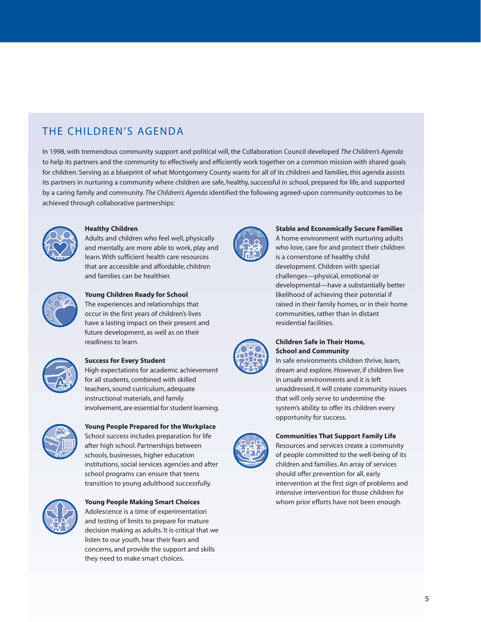# THE CHILDREN'S AGENDA

In 1998, with tremendous community support and political will, the Collaboration Council developed *The Children's Agenda* to help its partners and the community to effectively and efficiently work together on a common mission with shared goals for children. Serving as a blueprint of what Montgomery County wants for all of its children and families, this agenda assists its partners in nurturing a community where children are safe, healthy, successful in school, prepared for life, and supported by a caring family and community. *The Children's Agenda* identified the following agreed-upon community outcomes to be achieved through collaborative partnerships:



# **Healthy Children**

Adults and children who feel well, physically and mentally, are more able to work, play and learn. With sufficient health care resources that are accessible and affordable, children and families can be healthier.



# **Young Children Ready for School**

The experiences and relationships that occur in the first years of children's lives have a lasting impact on their present and future development, as well as on their readiness to learn.



# **Success for Every Student**

High expectations for academic achievement for all students, combined with skilled teachers, sound curriculum, adequate instructional materials, and family involvement, are essential for student learning.



# **Young People Prepared for the Workplace**

School success includes preparation for life after high school. Partnerships between schools, businesses, higher education institutions, social services agencies and after school programs can ensure that teens transition to young adulthood successfully.



# **Young People Making Smart Choices** Adolescence is a time of experimentation

and testing of limits to prepare for mature decision making as adults. It is critical that we listen to our youth, hear their fears and concerns, and provide the support and skills they need to make smart choices.



# **Stable and Economically Secure Families**

A home environment with nurturing adults who love, care for and protect their children is a cornerstone of healthy child development. Children with special challenges—physical, emotional or developmental—have a substantially better likelihood of achieving their potential if raised in their family homes, or in their home communities, rather than in distant residential facilities.



# **Children Safe in Their Home, School and Community**

In safe environments children thrive, learn, dream and explore. However, if children live in unsafe environments and it is left unaddressed, it will create community issues that will only serve to undermine the system's ability to offer its children every opportunity for success.



# **Communities That Support Family Life**

Resources and services create a community of people committed to the well-being of its children and families. An array of services should offer prevention for all, early intervention at the first sign of problems and intensive intervention for those children for whom prior efforts have not been enough.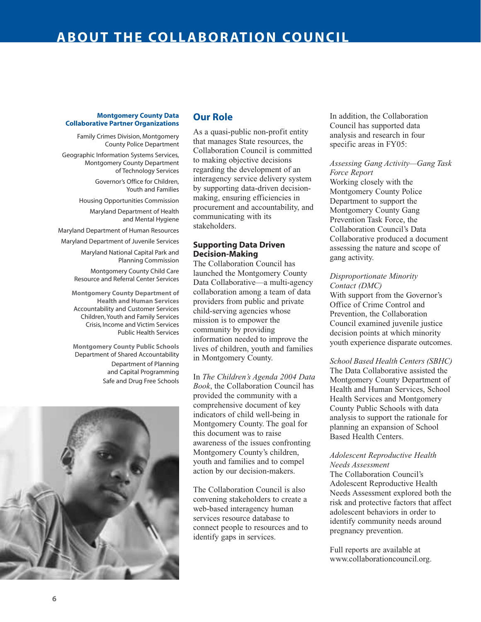# <span id="page-7-0"></span>**Montgomery County Data Collaborative Partner Organizations**

Family Crimes Division, Montgomery County Police Department

Geographic Information Systems Services, Montgomery County Department of Technology Services

> Governor's Office for Children, Youth and Families

Housing Opportunities Commission Maryland Department of Health and Mental Hygiene

Maryland Department of Human Resources

Maryland Department of Juvenile Services

Maryland National Capital Park and Planning Commission

Montgomery County Child Care Resource and Referral Center Services

**Montgomery County Department of Health and Human Services** Accountability and Customer Services Children, Youth and Family Services Crisis, Income and Victim Services Public Health Services

**Montgomery County Public Schools** Department of Shared Accountability Department of Planning and Capital Programming Safe and Drug Free Schools



# **Our Role**

As a quasi-public non-profit entity that manages State resources, the Collaboration Council is committed to making objective decisions regarding the development of an interagency service delivery system by supporting data-driven decisionmaking, ensuring efficiencies in procurement and accountability, and communicating with its stakeholders.

# **Supporting Data Driven Decision-Making**

The Collaboration Council has launched the Montgomery County Data Collaborative—a multi-agency collaboration among a team of data providers from public and private child-serving agencies whose mission is to empower the community by providing information needed to improve the lives of children, youth and families in Montgomery County.

In *The Children's Agenda 2004 Data Book*, the Collaboration Council has provided the community with a comprehensive document of key indicators of child well-being in Montgomery County. The goal for this document was to raise awareness of the issues confronting Montgomery County's children, youth and families and to compel action by our decision-makers.

The Collaboration Council is also convening stakeholders to create a web-based interagency human services resource database to connect people to resources and to identify gaps in services.

In addition, the Collaboration Council has supported data analysis and research in four specific areas in FY05:

# *Assessing Gang Activity—Gang Task Force Report*

Working closely with the Montgomery County Police Department to support the Montgomery County Gang Prevention Task Force, the Collaboration Council's Data Collaborative produced a document assessing the nature and scope of gang activity.

# *Disproportionate Minority Contact (DMC)*

With support from the Governor's Office of Crime Control and Prevention, the Collaboration Council examined juvenile justice decision points at which minority youth experience disparate outcomes.

# *School Based Health Centers (SBHC)*

The Data Collaborative assisted the Montgomery County Department of Health and Human Services, School Health Services and Montgomery County Public Schools with data analysis to support the rationale for planning an expansion of School Based Health Centers.

# *Adolescent Reproductive Health Needs Assessment*

The Collaboration Council's Adolescent Reproductive Health Needs Assessment explored both the risk and protective factors that affect adolescent behaviors in order to identify community needs around pregnancy prevention.

Full reports are available at www.collaborationcouncil.org.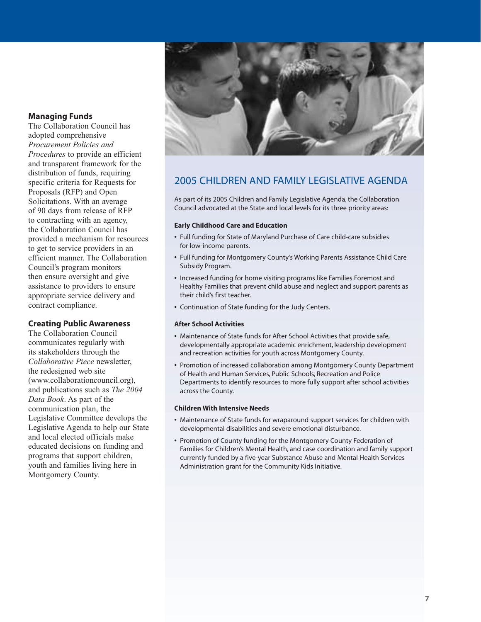# **Managing Funds**

The Collaboration Council has adopted comprehensive *Procurement Policies and Procedures* to provide an efficient and transparent framework for the distribution of funds, requiring specific criteria for Requests for Proposals (RFP) and Open Solicitations. With an average of 90 days from release of RFP to contracting with an agency, the Collaboration Council has provided a mechanism for resources to get to service providers in an efficient manner. The Collaboration Council's program monitors then ensure oversight and give assistance to providers to ensure appropriate service delivery and contract compliance.

# **Creating Public Awareness**

The Collaboration Council communicates regularly with its stakeholders through the *Collaborative Piece* newsletter, the redesigned web site (www.collaborationcouncil.org), and publications such as *The 2004 Data Book*. As part of the communication plan, the Legislative Committee develops the Legislative Agenda to help our State and local elected officials make educated decisions on funding and programs that support children, youth and families living here in Montgomery County.



# 2005 CHILDREN AND FAMILY LEGISLATIVE AGENDA

As part of its 2005 Children and Family Legislative Agenda, the Collaboration Council advocated at the State and local levels for its three priority areas:

# **Early Childhood Care and Education**

- **•** Full funding for State of Maryland Purchase of Care child-care subsidies for low-income parents.
- **•** Full funding for Montgomery County's Working Parents Assistance Child Care Subsidy Program.
- **•** Increased funding for home visiting programs like Families Foremost and Healthy Families that prevent child abuse and neglect and support parents as their child's first teacher.
- **•** Continuation of State funding for the Judy Centers.

# **After School Activities**

- **•** Maintenance of State funds for After School Activities that provide safe, developmentally appropriate academic enrichment, leadership development and recreation activities for youth across Montgomery County.
- **•** Promotion of increased collaboration among Montgomery County Department of Health and Human Services, Public Schools, Recreation and Police Departments to identify resources to more fully support after school activities across the County.

# **Children With Intensive Needs**

- **•** Maintenance of State funds for wraparound support services for children with developmental disabilities and severe emotional disturbance.
- **•** Promotion of County funding for the Montgomery County Federation of Families for Children's Mental Health, and case coordination and family support currently funded by a five-year Substance Abuse and Mental Health Services Administration grant for the Community Kids Initiative.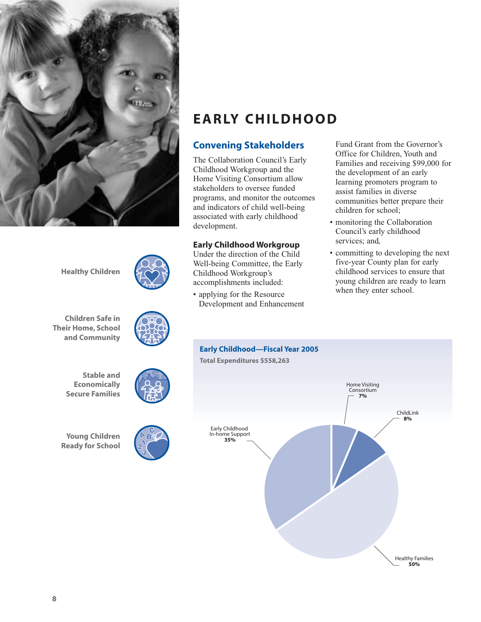<span id="page-9-0"></span>



# **Convening Stakeholders**

The Collaboration Council's Early Childhood Workgroup and the Home Visiting Consortium allow stakeholders to oversee funded programs, and monitor the outcomes and indicators of child well-being associated with early childhood development.

# **Early Childhood Workgroup**

Under the direction of the Child Well-being Committee, the Early Childhood Workgroup's accomplishments included:

• applying for the Resource Development and Enhancement Fund Grant from the Governor's Office for Children, Youth and Families and receiving \$99,000 for the development of an early learning promoters program to assist families in diverse communities better prepare their children for school;

- monitoring the Collaboration Council's early childhood services; and,
- committing to developing the next five-year County plan for early childhood services to ensure that young children are ready to learn when they enter school.



**Healthy Children**

**Children Safe in Their Home, School and Community**



**Stable and Economically Secure Families**

**Young Children Ready for School**



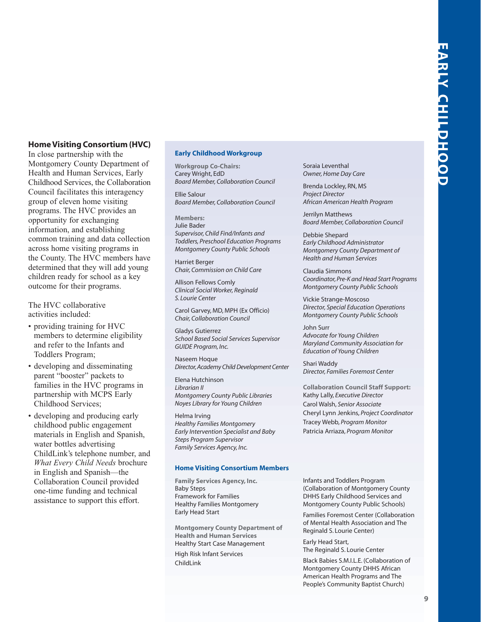# <span id="page-10-0"></span>**Home Visiting Consortium (HVC)**

In close partnership with the Montgomery County Department of Health and Human Services, Early Childhood Services, the Collaboration Council facilitates this interagency group of eleven home visiting programs. The HVC provides an opportunity for exchanging information, and establishing common training and data collection across home visiting programs in the County. The HVC members have determined that they will add young children ready for school as a key outcome for their programs.

The HVC collaborative activities included:

- providing training for HVC members to determine eligibility and refer to the Infants and Toddlers Program;
- developing and disseminating parent "booster" packets to families in the HVC programs in partnership with MCPS Early Childhood Services;
- developing and producing early childhood public engagement materials in English and Spanish, water bottles advertising ChildLink's telephone number, and *What Every Child Needs* brochure in English and Spanish—the Collaboration Council provided one-time funding and technical assistance to support this effort.

### **Early Childhood Workgroup**

**Workgroup Co-Chairs:** Carey Wright, EdD *Board Member, Collaboration Council*

Ellie Salour *Board Member, Collaboration Council*

**Members:** Julie Bader *Supervisor, Child Find/Infants and Toddlers, Preschool Education Programs Montgomery County Public Schools*

Harriet Berger *Chair, Commission on Child Care*

Allison Fellows Comly *Clinical Social Worker, Reginald S. Lourie Center*

Carol Garvey, MD, MPH (Ex Officio) *Chair, Collaboration Council*

Gladys Gutierrez *School Based Social Services Supervisor GUIDE Program, Inc.*

Naseem Hoque *Director, Academy Child Development Center*

Elena Hutchinson *Librarian II Montgomery County Public Libraries Noyes Library for Young Children*

Helma Irving *Healthy Families Montgomery Early Intervention Specialist and Baby Steps Program Supervisor Family Services Agency, Inc.*

### **Home Visiting Consortium Members**

**Family Services Agency, Inc.** Baby Steps Framework for Families Healthy Families Montgomery Early Head Start

**Montgomery County Department of Health and Human Services** Healthy Start Case Management High Risk Infant Services ChildLink

Soraia Leventhal *Owner, Home Day Care*

Brenda Lockley, RN, MS *Project Director African American Health Program*

Jerrilyn Matthews *Board Member, Collaboration Council*

Debbie Shepard *Early Childhood Administrator Montgomery County Department of Health and Human Services*

Claudia Simmons *Coordinator, Pre-K and Head Start Programs Montgomery County Public Schools*

Vickie Strange-Moscoso *Director, Special Education Operations Montgomery County Public Schools*

John Surr *Advocate for Young Children Maryland Community Association for Education of Young Children*

Shari Waddy *Director, Families Foremost Center*

**Collaboration Council Staff Support:** Kathy Lally, *Executive Director* Carol Walsh, *Senior Associate* Cheryl Lynn Jenkins, *Project Coordinator* Tracey Webb, *Program Monitor* Patricia Arriaza, *Program Monitor*

Infants and Toddlers Program (Collaboration of Montgomery County DHHS Early Childhood Services and Montgomery County Public Schools)

Families Foremost Center (Collaboration of Mental Health Association and The Reginald S. Lourie Center)

Early Head Start, The Reginald S. Lourie Center

Black Babies S.M.I.L.E. (Collaboration of Montgomery County DHHS African American Health Programs and The People's Community Baptist Church)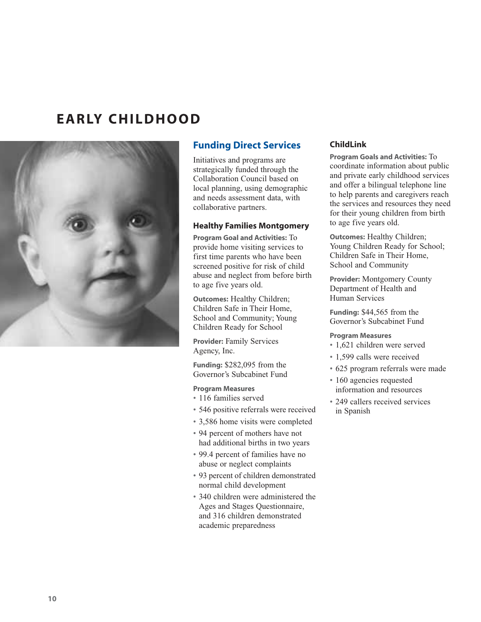# <span id="page-11-0"></span>**EARLY CHILDHOOD**



# **Funding Direct Services**

Initiatives and programs are strategically funded through the Collaboration Council based on local planning, using demographic and needs assessment data, with collaborative partners.

# **Healthy Families Montgomery**

**Program Goal and Activities:** To provide home visiting services to first time parents who have been screened positive for risk of child abuse and neglect from before birth to age five years old.

**Outcomes:** Healthy Children; Children Safe in Their Home, School and Community; Young Children Ready for School

**Provider:** Family Services Agency, Inc.

**Funding:** \$282,095 from the Governor's Subcabinet Fund

# **Program Measures**

- 116 families served
- 546 positive referrals were received
- 3,586 home visits were completed
- 94 percent of mothers have not had additional births in two years
- 99.4 percent of families have no abuse or neglect complaints
- 93 percent of children demonstrated normal child development
- 340 children were administered the Ages and Stages Questionnaire, and 316 children demonstrated academic preparedness

# **ChildLink**

**Program Goals and Activities:** To coordinate information about public and private early childhood services and offer a bilingual telephone line to help parents and caregivers reach the services and resources they need for their young children from birth to age five years old.

**Outcomes:** Healthy Children; Young Children Ready for School; Children Safe in Their Home, School and Community

**Provider:** Montgomery County Department of Health and Human Services

**Funding:** \$44,565 from the Governor's Subcabinet Fund

# **Program Measures**

- 1,621 children were served
- 1,599 calls were received
- 625 program referrals were made
- 160 agencies requested information and resources
- 249 callers received services in Spanish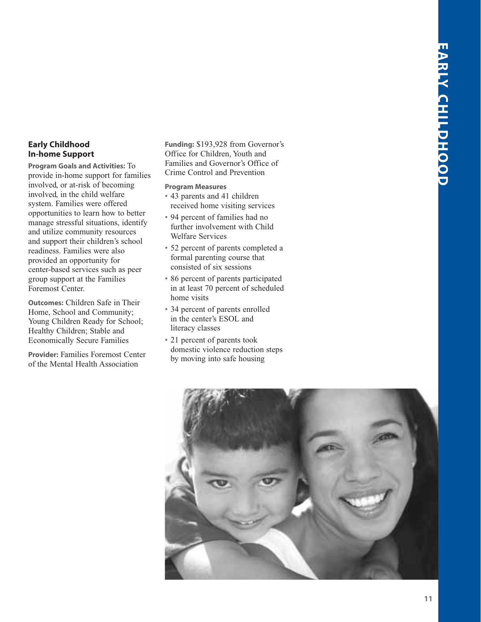# <span id="page-12-0"></span>**Early Childhood In-home Support**

**Program Goals and Activities:** To provide in-home support for families involved, or at-risk of becoming involved, in the child welfare system. Families were offered opportunities to learn how to better manage stressful situations, identify and utilize community resources and support their children's school readiness. Families were also provided an opportunity for center-based services such as peer group support at the Families Foremost Center.

**Outcomes:** Children Safe in Their Home, School and Community; Young Children Ready for School; Healthy Children; Stable and Economically Secure Families

**Provider:** Families Foremost Center of the Mental Health Association

**Funding:** \$193,928 from Governor's Office for Children, Youth and Families and Governor's Office of Crime Control and Prevention

# **Program Measures**

- 43 parents and 41 children received home visiting services
- 94 percent of families had no further involvement with Child Welfare Services
- 52 percent of parents completed a formal parenting course that consisted of six sessions
- 86 percent of parents participated in at least 70 percent of scheduled home visits
- 34 percent of parents enrolled in the center's ESOL and literacy classes
- 21 percent of parents took domestic violence reduction steps by moving into safe housing

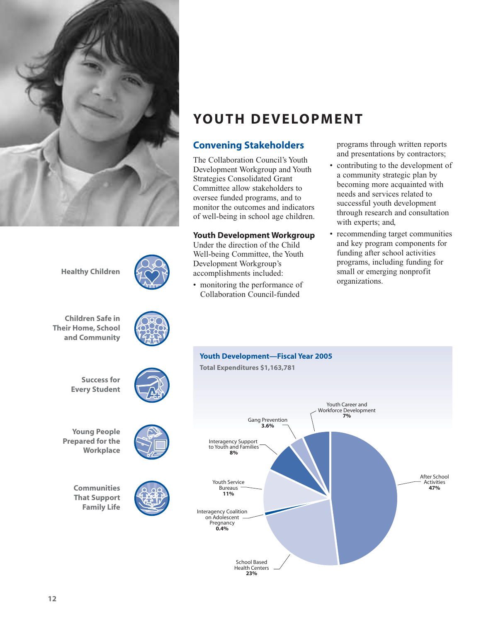<span id="page-13-0"></span>

**YOUTH DEVELOPMENT**

# **Convening Stakeholders**

The Collaboration Council's Youth Development Workgroup and Youth Strategies Consolidated Grant Committee allow stakeholders to oversee funded programs, and to monitor the outcomes and indicators of well-being in school age children.

# **Youth Development Workgroup**

Under the direction of the Child Well-being Committee, the Youth Development Workgroup's accomplishments included:

• monitoring the performance of Collaboration Council-funded

programs through written reports and presentations by contractors;

- contributing to the development of a community strategic plan by becoming more acquainted with needs and services related to successful youth development through research and consultation with experts; and,
- recommending target communities and key program components for funding after school activities programs, including funding for small or emerging nonprofit organizations.



**Healthy Children**

**Children Safe in Their Home, School and Community**



**Success for Every Student**

**Young People Prepared for the Workplace**

> **Communities That Support Family Life**

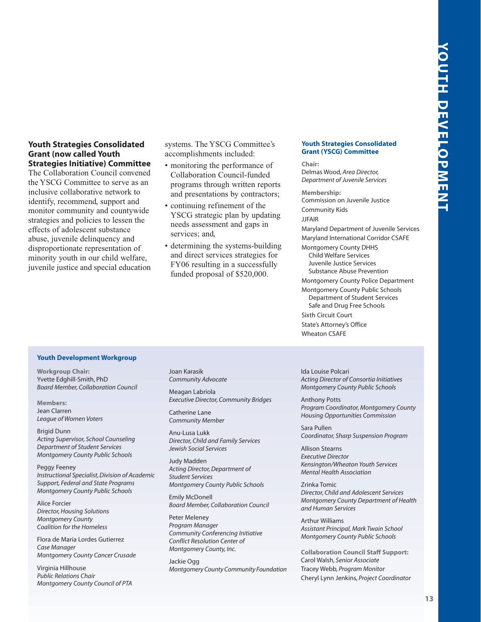# <span id="page-14-0"></span>**Youth Strategies Consolidated Grant (now called Youth Strategies Initiative) Committee**

The Collaboration Council convened the YSCG Committee to serve as an inclusive collaborative network to identify, recommend, support and monitor community and countywide strategies and policies to lessen the effects of adolescent substance abuse, juvenile delinquency and disproportionate representation of minority youth in our child welfare, juvenile justice and special education systems. The YSCG Committee's accomplishments included:

- monitoring the performance of Collaboration Council-funded programs through written reports and presentations by contractors;
- continuing refinement of the YSCG strategic plan by updating needs assessment and gaps in services; and,
- determining the systems-building and direct services strategies for FY06 resulting in a successfully funded proposal of \$520,000.

### **Youth Strategies Consolidated Grant (YSCG) Committee**

**Chair:** Delmas Wood, *Area Director, Department of Juvenile Services*

**Membership:** Commission on Juvenile Justice Community Kids **JIFAIR** Maryland Department of Juvenile Services Maryland International Corridor CSAFE Montgomery County DHHS Child Welfare Services Juvenile Justice Services Substance Abuse Prevention Montgomery County Police Department Montgomery County Public Schools Department of Student Services Safe and Drug Free Schools Sixth Circuit Court State's Attorney's Office Wheaton CSAFE

### **Youth Development Workgroup**

**Workgroup Chair:** Yvette Edghill-Smith, PhD *Board Member, Collaboration Council*

**Members:** Jean Clarren *League of Women Voters*

Brigid Dunn *Acting Supervisor, School Counseling Department of Student Services Montgomery County Public Schools*

Peggy Feeney *Instructional Specialist, Division of Academic Support, Federal and State Programs Montgomery County Public Schools*

Alice Forcier *Director, Housing Solutions Montgomery County Coalition for the Homeless*

Flora de Maria Lordes Gutierrez *Case Manager Montgomery County Cancer Crusade*

Virginia Hillhouse *Public Relations Chair Montgomery County Council of PTA* Joan Karasik *Community Advocate*

Meagan Labriola *Executive Director, Community Bridges*

Catherine Lane *Community Member*

Anu-Lusa Lukk *Director, Child and Family Services Jewish Social Services*

Judy Madden *Acting Director, Department of Student Services Montgomery County Public Schools*

Emily McDonell *Board Member, Collaboration Council*

Peter Meleney *Program Manager Community Conferencing Initiative Conflict Resolution Center of Montgomery County, Inc.*

Jackie Ogg *Montgomery County Community Foundation* Ida Louise Polcari *Acting Director of Consortia Initiatives Montgomery County Public Schools*

Anthony Potts *Program Coordinator, Montgomery County Housing Opportunities Commission*

Sara Pullen *Coordinator, Sharp Suspension Program*

Allison Stearns *Executive Director Kensington/Wheaton Youth Services Mental Health Association*

Zrinka Tomic *Director, Child and Adolescent Services Montgomery County Department of Health and Human Services*

Arthur Williams *Assistant Principal, Mark Twain School Montgomery County Public Schools*

**Collaboration Council Staff Support:** Carol Walsh, *Senior Associate* Tracey Webb, *Program Monitor* Cheryl Lynn Jenkins, *Project Coordinator*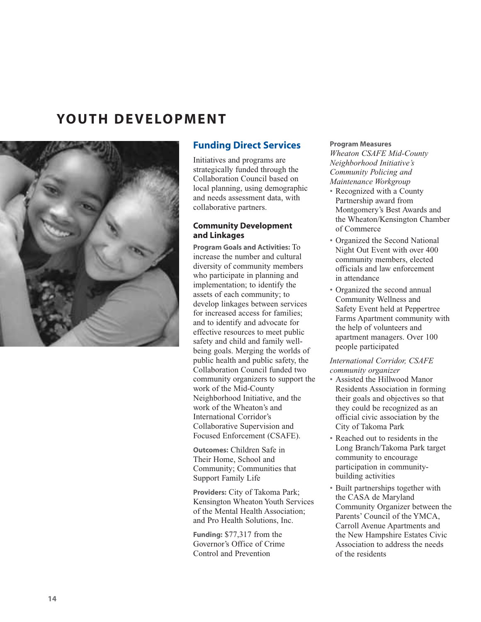# <span id="page-15-0"></span>**YOUTH DEVELOPMENT**



# **Funding Direct Services**

Initiatives and programs are strategically funded through the Collaboration Council based on local planning, using demographic and needs assessment data, with collaborative partners.

# **Community Development and Linkages**

**Program Goals and Activities:** To increase the number and cultural diversity of community members who participate in planning and implementation; to identify the assets of each community; to develop linkages between services for increased access for families; and to identify and advocate for effective resources to meet public safety and child and family wellbeing goals. Merging the worlds of public health and public safety, the Collaboration Council funded two community organizers to support the work of the Mid-County Neighborhood Initiative, and the work of the Wheaton's and International Corridor's Collaborative Supervision and Focused Enforcement (CSAFE).

**Outcomes:** Children Safe in Their Home, School and Community; Communities that Support Family Life

**Providers:** City of Takoma Park; Kensington Wheaton Youth Services of the Mental Health Association; and Pro Health Solutions, Inc.

**Funding:** \$77,317 from the Governor's Office of Crime Control and Prevention

# **Program Measures**

*Wheaton CSAFE Mid-County Neighborhood Initiative's Community Policing and Maintenance Workgroup*

- Recognized with a County Partnership award from Montgomery's Best Awards and the Wheaton/Kensington Chamber of Commerce
- Organized the Second National Night Out Event with over 400 community members, elected officials and law enforcement in attendance
- Organized the second annual Community Wellness and Safety Event held at Peppertree Farms Apartment community with the help of volunteers and apartment managers. Over 100 people participated

# *International Corridor, CSAFE community organizer*

- Assisted the Hillwood Manor Residents Association in forming their goals and objectives so that they could be recognized as an official civic association by the City of Takoma Park
- Reached out to residents in the Long Branch/Takoma Park target community to encourage participation in communitybuilding activities
- Built partnerships together with the CASA de Maryland Community Organizer between the Parents' Council of the YMCA, Carroll Avenue Apartments and the New Hampshire Estates Civic Association to address the needs of the residents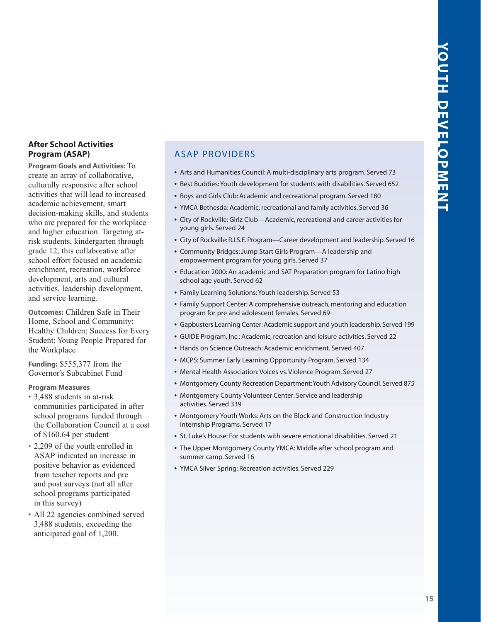# <span id="page-16-0"></span>**After School Activities Program (ASAP)**

**Program Goals and Activities:** To create an array of collaborative, culturally responsive after school activities that will lead to increased academic achievement, smart decision-making skills, and students who are prepared for the workplace and higher education. Targeting atrisk students, kindergarten through grade 12, this collaborative after school effort focused on academic enrichment, recreation, workforce development, arts and cultural activities, leadership development, and service learning.

**Outcomes:** Children Safe in Their Home, School and Community; Healthy Children; Success for Every Student; Young People Prepared for the Workplace

**Funding:** \$555,377 from the Governor's Subcabinet Fund

# **Program Measures**

- 3,488 students in at-risk communities participated in after school programs funded through the Collaboration Council at a cost of \$160.64 per student
- 2,209 of the youth enrolled in ASAP indicated an increase in positive behavior as evidenced from teacher reports and pre and post surveys (not all after school programs participated in this survey)
- All 22 agencies combined served 3,488 students, exceeding the anticipated goal of 1,200.

# ASAP PROVIDERS

- **•** Arts and Humanities Council: A multi-disciplinary arts program. Served 73
- **•** Best Buddies: Youth development for students with disabilities. Served 652
- **•** Boys and Girls Club: Academic and recreational program. Served 180
- **•** YMCA Bethesda: Academic, recreational and family activities. Served 36
- **•** City of Rockville: Girlz Club—Academic, recreational and career activities for young girls. Served 24
- **•** City of Rockville: R.I.S.E. Program—Career development and leadership. Served 16
- **•** Community Bridges: Jump Start Girls Program—A leadership and empowerment program for young girls. Served 37
- **•** Education 2000: An academic and SAT Preparation program for Latino high school age youth. Served 62
- **•** Family Learning Solutions: Youth leadership. Served 53
- **•** Family Support Center: A comprehensive outreach, mentoring and education program for pre and adolescent females. Served 69
- **•** Gapbusters Learning Center: Academic support and youth leadership. Served 199
- **•** GUIDE Program, Inc.: Academic, recreation and leisure activities. Served 22
- **•** Hands on Science Outreach: Academic enrichment. Served 407
- **•** MCPS: Summer Early Learning Opportunity Program. Served 134
- **•** Mental Health Association: Voices vs. Violence Program. Served 27
- **•** Montgomery County Recreation Department:Youth Advisory Council. Served 875
- **•** Montgomery County Volunteer Center: Service and leadership activities. Served 339
- **•** Montgomery Youth Works: Arts on the Block and Construction Industry Internship Programs. Served 17
- **•** St. Luke's House: For students with severe emotional disabilities. Served 21
- **•** The Upper Montgomery County YMCA: Middle after school program and summer camp. Served 16
- **•** YMCA Silver Spring: Recreation activities. Served 229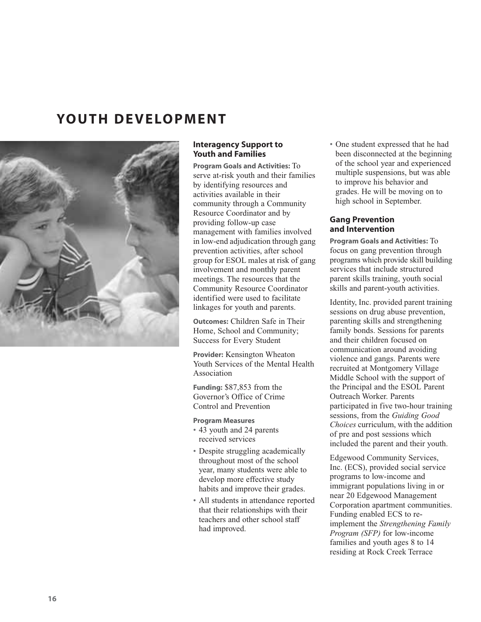# <span id="page-17-0"></span>**YOUTH DEVELOPMENT**



# **Interagency Support to Youth and Families**

**Program Goals and Activities:** To serve at-risk youth and their families by identifying resources and activities available in their community through a Community Resource Coordinator and by providing follow-up case management with families involved in low-end adjudication through gang prevention activities, after school group for ESOL males at risk of gang involvement and monthly parent meetings. The resources that the Community Resource Coordinator identified were used to facilitate linkages for youth and parents.

**Outcomes:** Children Safe in Their Home, School and Community; Success for Every Student

**Provider:** Kensington Wheaton Youth Services of the Mental Health Association

**Funding:** \$87,853 from the Governor's Office of Crime Control and Prevention

# **Program Measures**

- 43 youth and 24 parents received services
- Despite struggling academically throughout most of the school year, many students were able to develop more effective study habits and improve their grades.
- All students in attendance reported that their relationships with their teachers and other school staff had improved.

• One student expressed that he had been disconnected at the beginning of the school year and experienced multiple suspensions, but was able to improve his behavior and grades. He will be moving on to high school in September.

# **Gang Prevention and Intervention**

**Program Goals and Activities:** To focus on gang prevention through programs which provide skill building services that include structured parent skills training, youth social skills and parent-youth activities.

Identity, Inc. provided parent training sessions on drug abuse prevention, parenting skills and strengthening family bonds. Sessions for parents and their children focused on communication around avoiding violence and gangs. Parents were recruited at Montgomery Village Middle School with the support of the Principal and the ESOL Parent Outreach Worker. Parents participated in five two-hour training sessions, from the *Guiding Good Choices* curriculum, with the addition of pre and post sessions which included the parent and their youth.

Edgewood Community Services, Inc. (ECS), provided social service programs to low-income and immigrant populations living in or near 20 Edgewood Management Corporation apartment communities. Funding enabled ECS to reimplement the *Strengthening Family Program (SFP)* for low-income families and youth ages 8 to 14 residing at Rock Creek Terrace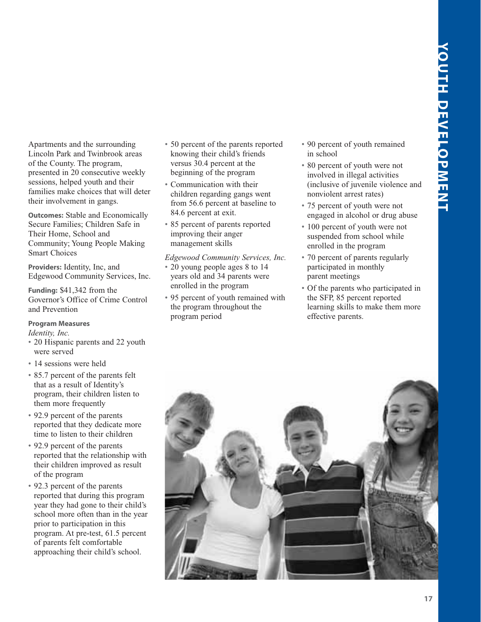Apartments and the surrounding Lincoln Park and Twinbrook areas of the County. The program, presented in 20 consecutive weekly sessions, helped youth and their families make choices that will deter their involvement in gangs.

**Outcomes:** Stable and Economically Secure Families; Children Safe in Their Home, School and Community; Young People Making Smart Choices

**Providers:** Identity, Inc, and Edgewood Community Services, Inc.

**Funding:** \$41,342 from the Governor's Office of Crime Control and Prevention

# **Program Measures**

*Identity, Inc.*

- 20 Hispanic parents and 22 youth were served
- 14 sessions were held
- 85.7 percent of the parents felt that as a result of Identity's program, their children listen to them more frequently
- 92.9 percent of the parents reported that they dedicate more time to listen to their children
- 92.9 percent of the parents reported that the relationship with their children improved as result of the program
- 92.3 percent of the parents reported that during this program year they had gone to their child's school more often than in the year prior to participation in this program. At pre-test, 61.5 percent of parents felt comfortable approaching their child's school.
- 50 percent of the parents reported knowing their child's friends versus 30.4 percent at the beginning of the program
- Communication with their children regarding gangs went from 56.6 percent at baseline to 84.6 percent at exit.
- 85 percent of parents reported improving their anger management skills

*Edgewood Community Services, Inc.* • 20 young people ages 8 to 14 years old and 34 parents were enrolled in the program

• 95 percent of youth remained with the program throughout the program period

- 90 percent of youth remained in school
- 80 percent of youth were not involved in illegal activities (inclusive of juvenile violence and nonviolent arrest rates)
- 75 percent of youth were not engaged in alcohol or drug abuse
- 100 percent of youth were not suspended from school while enrolled in the program
- 70 percent of parents regularly participated in monthly parent meetings
- Of the parents who participated in the SFP, 85 percent reported learning skills to make them more effective parents.

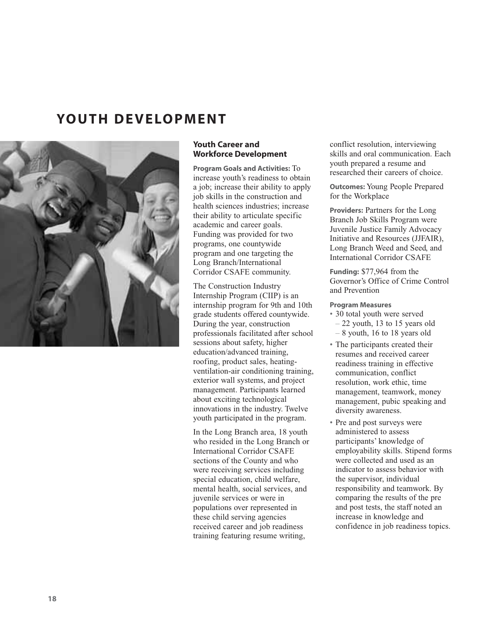# <span id="page-19-0"></span>**YOUTH DEVELOPMENT**



# **Youth Career and Workforce Development**

**Program Goals and Activities:** To increase youth's readiness to obtain a job; increase their ability to apply job skills in the construction and health sciences industries; increase their ability to articulate specific academic and career goals. Funding was provided for two programs, one countywide program and one targeting the Long Branch/International Corridor CSAFE community.

The Construction Industry Internship Program (CIIP) is an internship program for 9th and 10th grade students offered countywide. During the year, construction professionals facilitated after school sessions about safety, higher education/advanced training, roofing, product sales, heatingventilation-air conditioning training, exterior wall systems, and project management. Participants learned about exciting technological innovations in the industry. Twelve youth participated in the program.

In the Long Branch area, 18 youth who resided in the Long Branch or International Corridor CSAFE sections of the County and who were receiving services including special education, child welfare, mental health, social services, and juvenile services or were in populations over represented in these child serving agencies received career and job readiness training featuring resume writing,

conflict resolution, interviewing skills and oral communication. Each youth prepared a resume and researched their careers of choice.

**Outcomes:** Young People Prepared for the Workplace

**Providers:** Partners for the Long Branch Job Skills Program were Juvenile Justice Family Advocacy Initiative and Resources (JJFAIR), Long Branch Weed and Seed, and International Corridor CSAFE

**Funding:** \$77,964 from the Governor's Office of Crime Control and Prevention

# **Program Measures**

- 30 total youth were served – 22 youth, 13 to 15 years old – 8 youth, 16 to 18 years old
- The participants created their resumes and received career readiness training in effective communication, conflict resolution, work ethic, time management, teamwork, money management, pubic speaking and diversity awareness.
- Pre and post surveys were administered to assess participants' knowledge of employability skills. Stipend forms were collected and used as an indicator to assess behavior with the supervisor, individual responsibility and teamwork. By comparing the results of the pre and post tests, the staff noted an increase in knowledge and confidence in job readiness topics.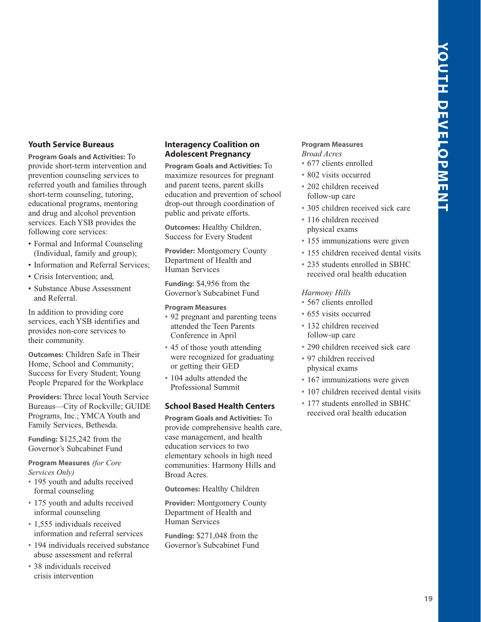# <span id="page-20-0"></span>**Youth Service Bureaus**

**Program Goals and Activities:** To provide short-term intervention and prevention counseling services to referred youth and families through short-term counseling, tutoring, educational programs, mentoring and drug and alcohol prevention services. Each YSB provides the following core services:

- Formal and Informal Counseling (Individual, family and group);
- Information and Referral Services;
- Crisis Intervention; and,
- Substance Abuse Assessment and Referral.

In addition to providing core services, each YSB identifies and provides non-core services to their community.

**Outcomes:** Children Safe in Their Home, School and Community; Success for Every Student; Young People Prepared for the Workplace

**Providers:** Three local Youth Service Bureaus—City of Rockville; GUIDE Programs, Inc.; YMCA Youth and Family Services, Bethesda.

**Funding:** \$125,242 from the Governor's Subcabinet Fund

**Program Measures** *(for Core Services Only)*

- 195 youth and adults received formal counseling
- 175 youth and adults received informal counseling
- 1,555 individuals received information and referral services
- 194 individuals received substance abuse assessment and referral
- 38 individuals received crisis intervention

# **Interagency Coalition on Adolescent Pregnancy**

**Program Goals and Activities:** To maximize resources for pregnant and parent teens, parent skills education and prevention of school drop-out through coordination of public and private efforts.

**Outcomes:** Healthy Children, Success for Every Student

**Provider:** Montgomery County Department of Health and Human Services

**Funding:** \$4,956 from the Governor's Subcabinet Fund

# **Program Measures**

- 92 pregnant and parenting teens attended the Teen Parents Conference in April
- 45 of those youth attending were recognized for graduating or getting their GED
- 104 adults attended the Professional Summit

# **School Based Health Centers**

**Program Goals and Activities:** To provide comprehensive health care, case management, and health education services to two elementary schools in high need communities: Harmony Hills and Broad Acres.

**Outcomes:** Healthy Children

**Provider:** Montgomery County Department of Health and Human Services

**Funding:** \$271,048 from the Governor's Subcabinet Fund

# **Program Measures** *Broad Acres*

- 677 clients enrolled
- 802 visits occurred
- 202 children received follow-up care
- 305 children received sick care
- 116 children received physical exams
- 155 immunizations were given
- 155 children received dental visits
- 235 students enrolled in SBHC received oral health education

# *Harmony Hills*

- 567 clients enrolled
- 655 visits occurred
- 132 children received follow-up care
- 290 children received sick care
- 97 children received physical exams
- 167 immunizations were given
- 107 children received dental visits
- 177 students enrolled in SBHC received oral health education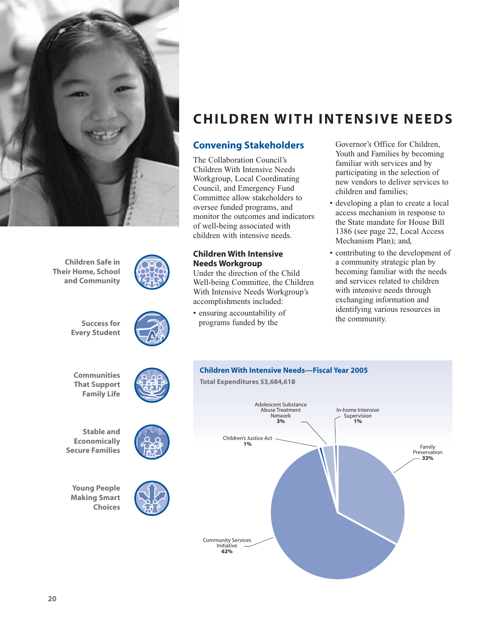<span id="page-21-0"></span>

**Children Safe in Their Home, School and Community**





**Communities That Support Family Life**

**Success for Every Student**



**Young People Making Smart Choices**





**CHILDREN WITH INTENSIVE NEEDS**

# **Convening Stakeholders**

The Collaboration Council's Children With Intensive Needs Workgroup, Local Coordinating Council, and Emergency Fund Committee allow stakeholders to oversee funded programs, and monitor the outcomes and indicators of well-being associated with children with intensive needs.

# **Children With Intensive Needs Workgroup**

Under the direction of the Child Well-being Committee, the Children With Intensive Needs Workgroup's accomplishments included:

• ensuring accountability of programs funded by the

Governor's Office for Children, Youth and Families by becoming familiar with services and by participating in the selection of new vendors to deliver services to children and families;

- developing a plan to create a local access mechanism in response to the State mandate for House Bill 1386 (see page 22, Local Access Mechanism Plan); and,
- contributing to the development of a community strategic plan by becoming familiar with the needs and services related to children with intensive needs through exchanging information and identifying various resources in the community.

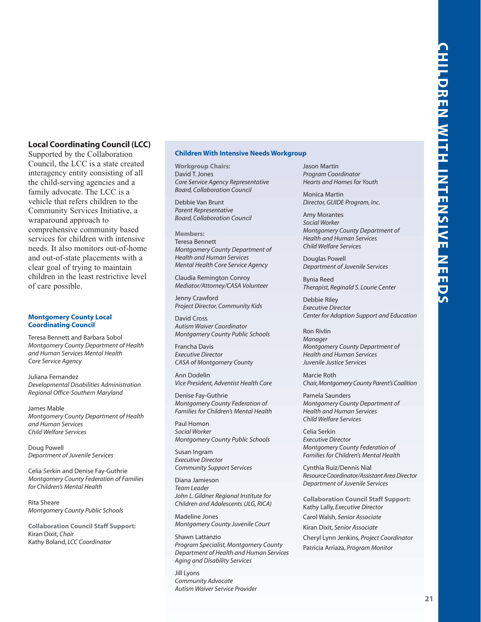# <span id="page-22-0"></span>**Local Coordinating Council (LCC)**

Supported by the Collaboration Council, the LCC is a state created interagency entity consisting of all the child-serving agencies and a family advocate. The LCC is a vehicle that refers children to the Community Services Initiative, a wraparound approach to comprehensive community based services for children with intensive needs. It also monitors out-of-home and out-of-state placements with a clear goal of trying to maintain children in the least restrictive level of care possible.

### **Montgomery County Local Coordinating Council**

Teresa Bennett and Barbara Sobol *Montgomery County Department of Health and Human Services Mental Health Core Service Agency*

Juliana Fernandez *Developmental Disabilities Administration Regional Office-Southern Maryland*

James Mable *Montgomery County Department of Health and Human Services Child Welfare Services*

Doug Powell *Department of Juvenile Services*

Celia Serkin and Denise Fay-Guthrie *Montgomery County Federation of Families for Children's Mental Health*

Rita Sheare *Montgomery County Public Schools*

**Collaboration Council Staff Support:** Kiran Dixit, *Chair* Kathy Boland, *LCC Coordinator*

### **Children With Intensive Needs Workgroup**

**Workgroup Chairs:** David T. Jones *Core Service Agency Representative Board, Collaboration Council*

Debbie Van Brunt *Parent Representative Board, Collaboration Council*

**Members:** Teresa Bennett *Montgomery County Department of Health and Human Services Mental Health Core Service Agency*

Claudia Remington Conroy *Mediator/Attorney/CASA Volunteer*

Jenny Crawford *Project Director, Community Kids*

David Cross *Autism Waiver Coordinator Montgomery County Public Schools*

Francha Davis *Executive Director CASA of Montgomery County*

Ann Dodelin *Vice President, Adventist Health Care*

Denise Fay-Guthrie *Montgomery County Federation of Families for Children's Mental Health*

Paul Homon *Social Worker Montgomery County Public Schools*

Susan Ingram *Executive Director Community Support Services*

Diana Jamieson *Team Leader John L. Gildner Regional Institute for Children and Adolescents (JLG, RICA)*

Madeline Jones *Montgomery County Juvenile Court*

Shawn Lattanzio *Program Specialist, Montgomery County Department of Health and Human Services Aging and Disability Services*

Jill Lyons *Community Advocate Autism Waiver Service Provider* Jason Martin *Program Coordinator Hearts and Homes for Youth*

Monica Martin *Director, GUIDE Program, Inc.*

Amy Morantes *Social Worker Montgomery County Department of Health and Human Services Child Welfare Services*

Douglas Powell *Department of Juvenile Services*

Bynia Reed *Therapist, Reginald S. Lourie Center*

Debbie Riley *Executive Director Center for Adoption Support and Education*

Ron Rivlin *Manager Montgomery County Department of Health and Human Services Juvenile Justice Services*

Marcie Roth *Chair,Montgomery County Parent's Coalition*

Pamela Saunders *Montgomery County Department of Health and Human Services Child Welfare Services*

Celia Serkin *Executive Director Montgomery County Federation of Families for Children's Mental Health*

Cynthia Ruiz/Dennis Nial *Resource Coordinator/Assistant Area Director Department of Juvenile Services*

**Collaboration Council Staff Support:** Kathy Lally, *Executive Director* Carol Walsh, *Senior Associate* Kiran Dixit, *Senior Associate*

Cheryl Lynn Jenkins, *Project Coordinator* Patricia Arriaza, *Program Monitor*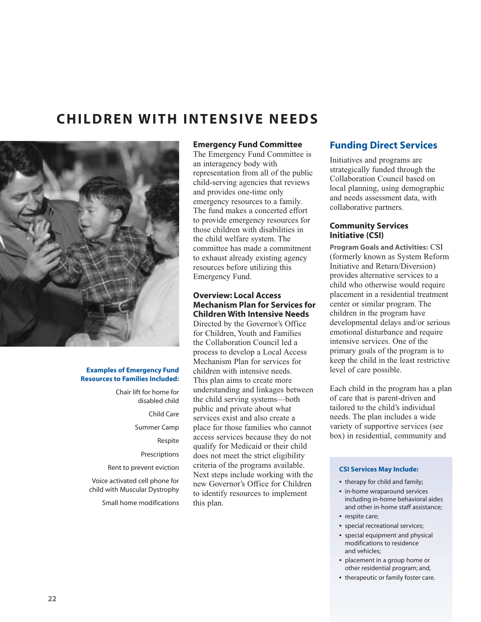# <span id="page-23-0"></span>**CHILDREN WITH INTENSIVE NEEDS**



### **Examples of Emergency Fund Resources to Families Included:**

Chair lift for home for disabled child Child Care Summer Camp Respite Prescriptions Rent to prevent eviction Voice activated cell phone for child with Muscular Dystrophy

Small home modifications

# **Emergency Fund Committee**

The Emergency Fund Committee is an interagency body with representation from all of the public child-serving agencies that reviews and provides one-time only emergency resources to a family. The fund makes a concerted effort to provide emergency resources for those children with disabilities in the child welfare system. The committee has made a commitment to exhaust already existing agency resources before utilizing this Emergency Fund.

# **Overview: Local Access Mechanism Plan for Services for Children With Intensive Needs**

Directed by the Governor's Office for Children, Youth and Families the Collaboration Council led a process to develop a Local Access Mechanism Plan for services for children with intensive needs. This plan aims to create more understanding and linkages between the child serving systems—both public and private about what services exist and also create a place for those families who cannot access services because they do not qualify for Medicaid or their child does not meet the strict eligibility criteria of the programs available. Next steps include working with the new Governor's Office for Children to identify resources to implement this plan.

# **Funding Direct Services**

Initiatives and programs are strategically funded through the Collaboration Council based on local planning, using demographic and needs assessment data, with collaborative partners.

# **Community Services Initiative (CSI)**

**Program Goals and Activities:** CSI (formerly known as System Reform Initiative and Return/Diversion) provides alternative services to a child who otherwise would require placement in a residential treatment center or similar program. The children in the program have developmental delays and/or serious emotional disturbance and require intensive services. One of the primary goals of the program is to keep the child in the least restrictive level of care possible.

Each child in the program has a plan of care that is parent-driven and tailored to the child's individual needs. The plan includes a wide variety of supportive services (see box) in residential, community and

# **CSI Services May Include:**

- **•** therapy for child and family;
- **•** in-home wraparound services including in-home behavioral aides and other in-home staff assistance;
- **•** respite care; **•** special recreational services;
- **•** special equipment and physical modifications to residence and vehicles;
- **•** placement in a group home or other residential program; and,
- **•** therapeutic or family foster care.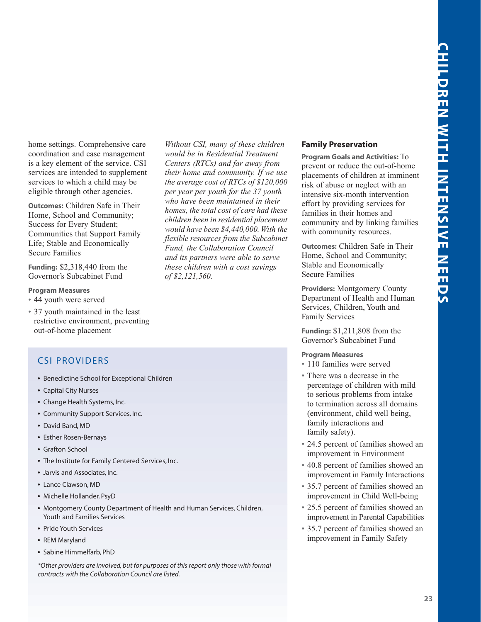<span id="page-24-0"></span>home settings. Comprehensive care coordination and case management is a key element of the service. CSI services are intended to supplement services to which a child may be eligible through other agencies.

**Outcomes:** Children Safe in Their Home, School and Community; Success for Every Student; Communities that Support Family Life; Stable and Economically Secure Families

**Funding:** \$2,318,440 from the Governor's Subcabinet Fund

# **Program Measures**

- 44 youth were served
- 37 youth maintained in the least restrictive environment, preventing out-of-home placement

# CSI PROVIDERS

- **•** Benedictine School for Exceptional Children
- **•** Capital City Nurses
- **•** Change Health Systems, Inc.
- **•** Community Support Services, Inc.
- **•** David Band, MD
- **•** Esther Rosen-Bernays
- **•** Grafton School
- **•** The Institute for Family Centered Services, Inc.
- **•** Jarvis and Associates, Inc.
- **•** Lance Clawson, MD
- **•** Michelle Hollander, PsyD
- **•** Montgomery County Department of Health and Human Services, Children, Youth and Families Services
- **•** Pride Youth Services
- **•** REM Maryland
- **•** Sabine Himmelfarb, PhD

*\*Other providers are involved, but for purposes of this report only those with formal contracts with the Collaboration Council are listed.*

*Without CSI, many of these children would be in Residential Treatment Centers (RTCs) and far away from their home and community. If we use the average cost of RTCs of \$120,000 per year per youth for the 37 youth who have been maintained in their homes, the total cost of care had these children been in residential placement would have been \$4,440,000. With the flexible resources from the Subcabinet Fund, the Collaboration Council and its partners were able to serve these children with a cost savings of \$2,121,560.*

# **Family Preservation**

**Program Goals and Activities:** To prevent or reduce the out-of-home placements of children at imminent risk of abuse or neglect with an intensive six-month intervention effort by providing services for families in their homes and community and by linking families with community resources.

**Outcomes:** Children Safe in Their Home, School and Community; Stable and Economically Secure Families

**Providers:** Montgomery County Department of Health and Human Services, Children, Youth and Family Services

**Funding:** \$1,211,808 from the Governor's Subcabinet Fund

# **Program Measures**

- 110 families were served
- There was a decrease in the percentage of children with mild to serious problems from intake to termination across all domains (environment, child well being, family interactions and family safety).
- 24.5 percent of families showed an improvement in Environment
- 40.8 percent of families showed an improvement in Family Interactions
- 35.7 percent of families showed an improvement in Child Well-being
- 25.5 percent of families showed an improvement in Parental Capabilities
- 35.7 percent of families showed an improvement in Family Safety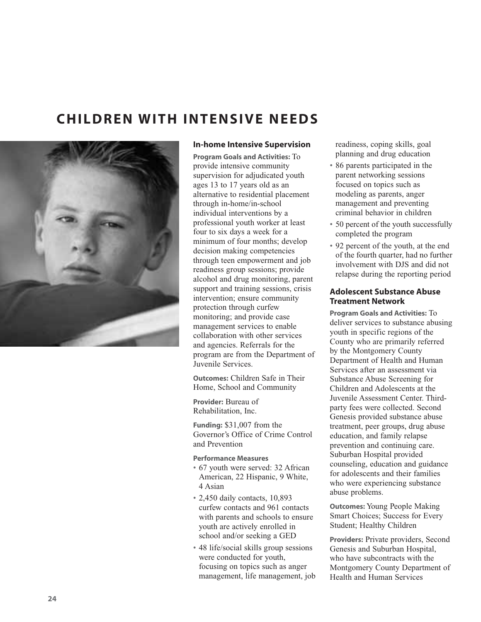# <span id="page-25-0"></span>**CHILDREN WITH INTENSIVE NEEDS**



# **In-home Intensive Supervision**

**Program Goals and Activities:** To provide intensive community supervision for adjudicated youth ages 13 to 17 years old as an alternative to residential placement through in-home/in-school individual interventions by a professional youth worker at least four to six days a week for a minimum of four months; develop decision making competencies through teen empowerment and job readiness group sessions; provide alcohol and drug monitoring, parent support and training sessions, crisis intervention; ensure community protection through curfew monitoring; and provide case management services to enable collaboration with other services and agencies. Referrals for the program are from the Department of Juvenile Services.

**Outcomes:** Children Safe in Their Home, School and Community

**Provider:** Bureau of Rehabilitation, Inc.

**Funding:** \$31,007 from the Governor's Office of Crime Control and Prevention

# **Performance Measures**

- 67 youth were served: 32 African American, 22 Hispanic, 9 White, 4 Asian
- 2,450 daily contacts, 10,893 curfew contacts and 961 contacts with parents and schools to ensure youth are actively enrolled in school and/or seeking a GED
- 48 life/social skills group sessions were conducted for youth, focusing on topics such as anger management, life management, job

readiness, coping skills, goal planning and drug education

- 86 parents participated in the parent networking sessions focused on topics such as modeling as parents, anger management and preventing criminal behavior in children
- 50 percent of the youth successfully completed the program
- 92 percent of the youth, at the end of the fourth quarter, had no further involvement with DJS and did not relapse during the reporting period

# **Adolescent Substance Abuse Treatment Network**

**Program Goals and Activities:** To deliver services to substance abusing youth in specific regions of the County who are primarily referred by the Montgomery County Department of Health and Human Services after an assessment via Substance Abuse Screening for Children and Adolescents at the Juvenile Assessment Center. Thirdparty fees were collected. Second Genesis provided substance abuse treatment, peer groups, drug abuse education, and family relapse prevention and continuing care. Suburban Hospital provided counseling, education and guidance for adolescents and their families who were experiencing substance abuse problems.

**Outcomes:** Young People Making Smart Choices; Success for Every Student; Healthy Children

**Providers:** Private providers, Second Genesis and Suburban Hospital, who have subcontracts with the Montgomery County Department of Health and Human Services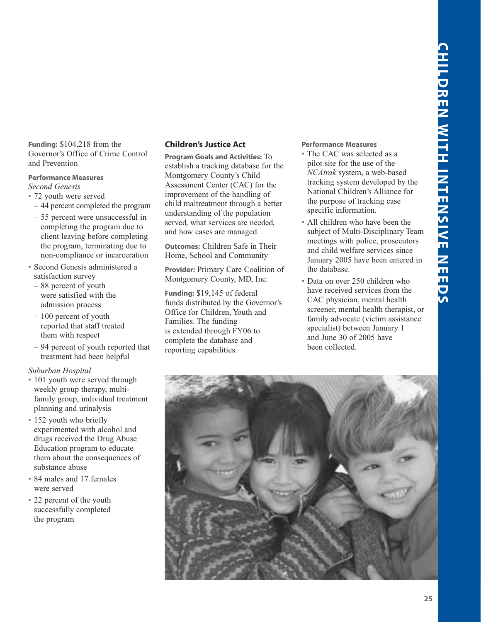<span id="page-26-0"></span>**Funding:** \$104,218 from the Governor's Office of Crime Control and Prevention

# **Performance Measures**

*Second Genesis*

- 72 youth were served
	- 44 percent completed the program
	- 55 percent were unsuccessful in completing the program due to client leaving before completing the program, terminating due to non-compliance or incarceration
- Second Genesis administered a satisfaction survey
- 88 percent of youth were satisfied with the admission process
- 100 percent of youth reported that staff treated them with respect
- 94 percent of youth reported that treatment had been helpful

# *Suburban Hospital*

- 101 youth were served through weekly group therapy, multifamily group, individual treatment planning and urinalysis
- 152 youth who briefly experimented with alcohol and drugs received the Drug Abuse Education program to educate them about the consequences of substance abuse
- 84 males and 17 females were served
- 22 percent of the youth successfully completed the program

# **Children's Justice Act**

**Program Goals and Activities:** To establish a tracking database for the Montgomery County's Child Assessment Center (CAC) for the improvement of the handling of child maltreatment through a better understanding of the population served, what services are needed, and how cases are managed.

**Outcomes:** Children Safe in Their Home, School and Community

**Provider:** Primary Care Coalition of Montgomery County, MD, Inc.

**Funding:** \$19,145 of federal funds distributed by the Governor's Office for Children, Youth and Families. The funding is extended through FY06 to complete the database and reporting capabilities.

# **Performance Measures**

- The CAC was selected as a pilot site for the use of the *NCAtrak* system, a web-based tracking system developed by the National Children's Alliance for the purpose of tracking case specific information.
- All children who have been the subject of Multi-Disciplinary Team meetings with police, prosecutors and child welfare services since January 2005 have been entered in the database.
- Data on over 250 children who have received services from the CAC physician, mental health screener, mental health therapist, or family advocate (victim assistance specialist) between January 1 and June 30 of 2005 have been collected.

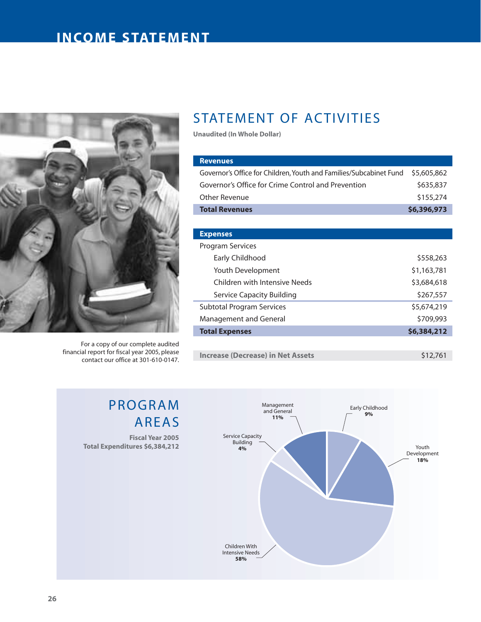# <span id="page-27-0"></span>**INCOME STATEMENT**



For a copy of our complete audited financial report for fiscal year 2005, please contact our office at 301-610-0147.

PROGRAM

**Total Expenditures \$6,384,212**

AREAS

**Fiscal Year 2005**

# STATEMENT OF ACTIVITIES

**Unaudited (In Whole Dollar)**

| <b>Revenues</b>                                                    |             |
|--------------------------------------------------------------------|-------------|
| Governor's Office for Children, Youth and Families/Subcabinet Fund | \$5,605,862 |
| Governor's Office for Crime Control and Prevention                 | \$635,837   |
| Other Revenue                                                      | \$155,274   |
| <b>Total Revenues</b>                                              | \$6,396,973 |
|                                                                    |             |
| <b>Expenses</b>                                                    |             |
| Program Services                                                   |             |
| Early Childhood                                                    | \$558,263   |
| Youth Development                                                  | \$1,163,781 |
| Children with Intensive Needs                                      | \$3,684,618 |
| Service Capacity Building                                          | \$267,557   |
| Subtotal Program Services                                          | \$5,674,219 |
| Management and General                                             | \$709,993   |
| <b>Total Expenses</b>                                              | \$6,384,212 |
|                                                                    |             |

**Increase (Decrease) in Net Assets 12,761** 

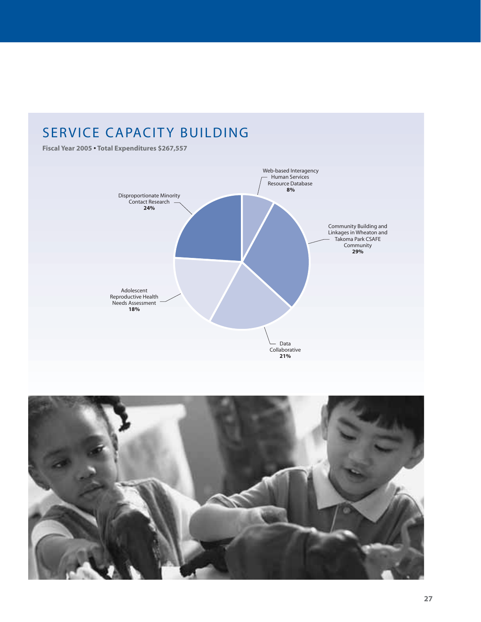